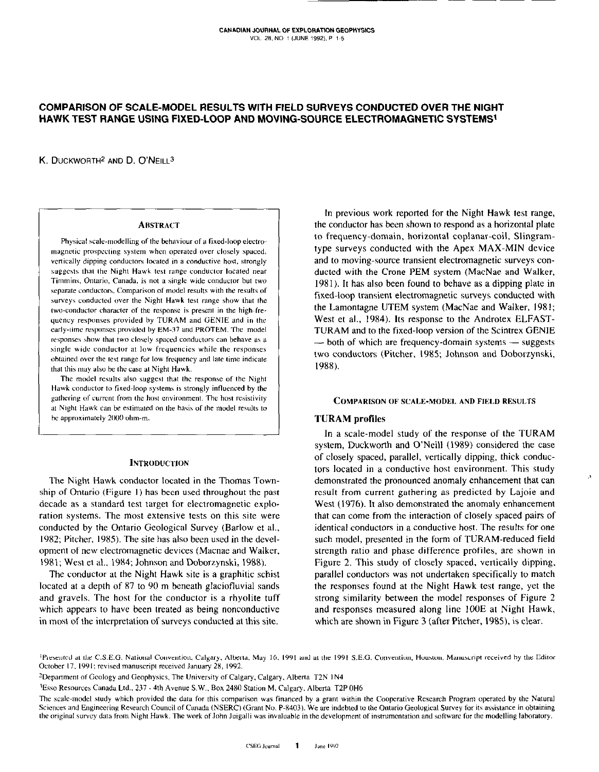# COMPARISON OF SCALE-MODEL RESULTS WITH FIELD SURVEYS CONDUCTED OVER THE NIGHT HAWK TEST RANGE USING FIXED-LOOP AND MOVING-SOURCE ELECTROMAGNETIC SYSTEMS<sup>1</sup>

K. DUCKWORTH<sup>2</sup> AND D. O'NEILL<sup>3</sup>

#### **ABSTRACT**

Physical scale-modelling of the behaviour of a fixed-loop electromagnetic prospecting system when operated over closely spaced, vertically dipping conductors located in a conductive host, strongly suggests that the Night Hawk test range conductor located near Timmins, Ontario, Canada, is not a single wide conductor but two separate conductors. Comparison of model results with the results of surveys conducted over the Night Hawk test range show that the two-conductor character of the response is present in the high-frequency responses provided by TURAM and GENIE and in the early-time responses provided by EM-37 and PROTEM. The model responses show that two closely spaced conductors can behave as a single wide conductor at low frequencies while the responses obtained over the test range for low frequency and late time indicate that this may also be the case at Night Hawk.

The model results also suggest that the response of the Night Hawk conductor to fixed-loop systems is strongly influenced by the gathering of current from the host environment. The host resistivity at Night Hawk can be estimated on the basis of the model results to be approximately 2000 ohm-m.

### **INTRODUCTION**

The Night Hawk conductor located in the Thomas Township of Ontario (Figure 1) has been used throughout the past decade as a standard test target for electromagnetic exploration systems. The most extensive tests on this site were conducted by the Ontario Geological Survey (Barlow et al., 1982; Pitcher, 1985). The site has also been used in the development of new electromagnetic devices (Macnae and Walker, 1981; West et al., 1984; Johnson and Doborzynski, 1988).

The conductor at the Night Hawk site is a graphitic schist located at a depth of 87 to 90 m beneath glaciofluvial sands and gravels. The host for the conductor is a rhyolite tuff which appears to have been treated as being nonconductive in most of the interpretation of surveys conducted at this site.

In previous work reported for the Night Hawk test range, the conductor has been shown to respond as a horizontal plate to frequency-domain, horizontal coplanar-coil, Slingramtype surveys conducted with the Apex MAX-MIN device and to moving-source transient electromagnetic surveys conducted with the Crone PEM system (MacNae and Walker, 1981). It has also been found to behave as a dipping plate in fixed-loop transient electromagnetic surveys conducted with the Lamontagne UTEM system (MacNae and Walker, 1981; West et al., 1984). Its response to the Androtex ELFAST-TURAM and to the fixed-loop version of the Scintrex GENIE — both of which are frequency-domain systems — suggests two conductors (Pitcher, 1985; Johnson and Doborzynski, 1988).

#### **COMPARISON OF SCALE-MODEL AND FIELD RESULTS**

## **TURAM** profiles

In a scale-model study of the response of the TURAM system, Duckworth and O'Neill (1989) considered the case of closely spaced, parallel, vertically dipping, thick conductors located in a conductive host environment. This study demonstrated the pronounced anomaly enhancement that can result from current gathering as predicted by Lajoie and West (1976). It also demonstrated the anomaly enhancement that can come from the interaction of closely spaced pairs of identical conductors in a conductive host. The results for one such model, presented in the form of TURAM-reduced field strength ratio and phase difference profiles, are shown in Figure 2. This study of closely spaced, vertically dipping, parallel conductors was not undertaken specifically to match the responses found at the Night Hawk test range, yet the strong similarity between the model responses of Figure 2 and responses measured along line 100E at Night Hawk, which are shown in Figure 3 (after Pitcher, 1985), is clear.

<sup>1</sup>Presented at the C.S.E.G. National Convention, Calgary, Alberta, May 16, 1991 and at the 1991 S.E.G. Convention, Houston, Manuscript received by the Editor October 17, 1991; revised manuscript received January 28, 1992.

The scale-model study which provided the data for this comparison was financed by a grant within the Cooperative Research Program operated by the Natural Sciences and Engineering Research Council of Canada (NSERC) (Grant No. P-8403). We are indebted to the Ontario Geological Survey for its assistance in obtaining the original survey data from Night Hawk. The work of John Juigalli was invaluable in the development of instrumentation and software for the modelling laboratory.

<sup>&</sup>lt;sup>2</sup>Department of Geology and Geophysics, The University of Calgary, Calgary, Alberta T2N 1N4

<sup>&</sup>lt;sup>3</sup>Esso Resources Canada Ltd., 237 - 4th Avenue S.W., Box 2480 Station M. Calgary, Alberta T2P 0H6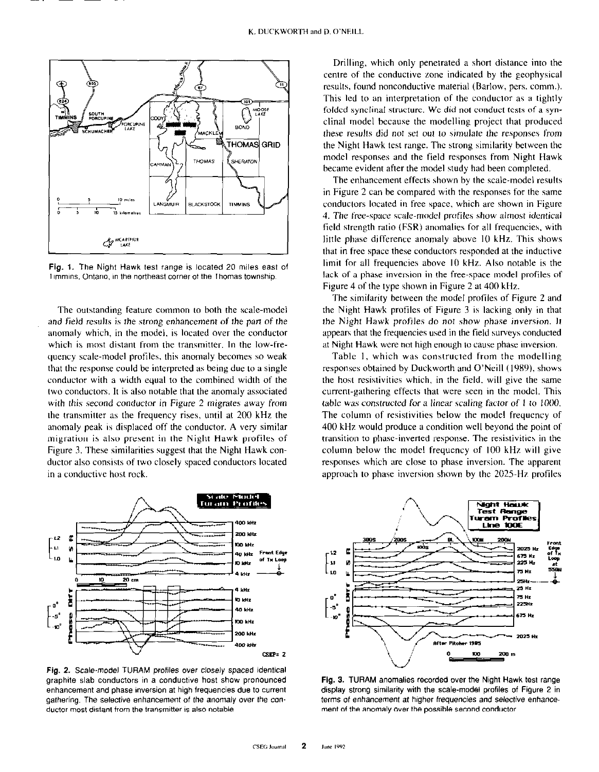

Fig. 1. The Night Hawk test range is located 20 miles east of Timmins. Ontario, in the northeast corner of the Thomas township.

The outstanding feature common to both the scale-model and field results is the strong enhancement of the part of the anomaly which, in the model, is located over the conductor which is most distant from the transmitter. In the low-frequency scale-model profiles, this anomaly becomes so weak that the response could he interpreted as being due to a single conductor with a width equal to the combined width of the two conductors. It is also notable that the anomaly associated with this second conductor in Figure 2 migrates away from the transmitter as the frequency rises, until at 200 kHz the anomaly peak is displaced off the conductor. A very similar migration is also present in the Night Hawk profiles of Figure 3. These similarities suggest that the Night Hawk conductor also consists of two closely spaced conductors located in a conductive host rock.



Fig. 2. Scale-model TURAM profiles over closely spaced identical graphite slab conductors in a conductive host show pronounced enhancement and phase inversion at high frequencies due to current gathering. The selective enhancement of the anomaly over the canductor most distant from the transmitter is also notable.

Drilling. which only penetrated a short distance into the centre of the conductive zone indicated by the geophysical results, found nonconductive material (Barlow, pers. comm.). This led to an interpretation of the conductor as a tightly folded synclinal structure. We did not conduct tests of a synclinal model because the modelling project that produced these results did not set out to simulate the responses from the Night Hawk test range. The strong similarity between the model responses and the field responses from Night Hawk became evident after the model study had been completed.

The enhancement effects shown by the scale-model results in Figure 2 can be compared with the responses for the same conductors located in free space, which are shown in Figure 4. The free-space scale-model profiles show almost identical field strength ratio (FSR) anomalies for all frequencies. with little phase difference anomaly above IO kHz. This shows that in free space these conductors responded at the inductive limit for all frequencies above IO kHz. Also notable is the lack of a phase inversion in the free-space model profiles of Figure 4 of the type shown in Figure 2 at 400 kHz.

The similarity between the model profiles of Figure 2 and the Night Hawk profiles of Figure 3 is lacking only in that the Night Hawk profiles do not show phase inversion. It appears that the frequencies used in the field surveys conducted at Night Hawk were not high enough to cause phase inversion.

Table I, which was constructed from the modelling responses obtained by Duckworth and O'Neill (1989), shows the host resistivities which, in the field, will give the same current-gathering effects that were seen in the model. This table was constructed for a linear scaling factor of 1 to 1000. The column of resistivities below the model frequency of 400 kHz would produce a condition well beyond the point of transition to phase-inverted response. The resistivities in the column below the model frequency of 100 kHz will give responses which are close to phase inversion. The apparent approach to phase inversion shown by the 2025.Hz profiles



Fig. 3. TURAM anomalies recorded over the Night Hawk test range display strong similarity with the scale-model profiles of Figure 2 in terms of enhancement at higher frequencies and selective enhancement of the anomaly over the possible second conductor.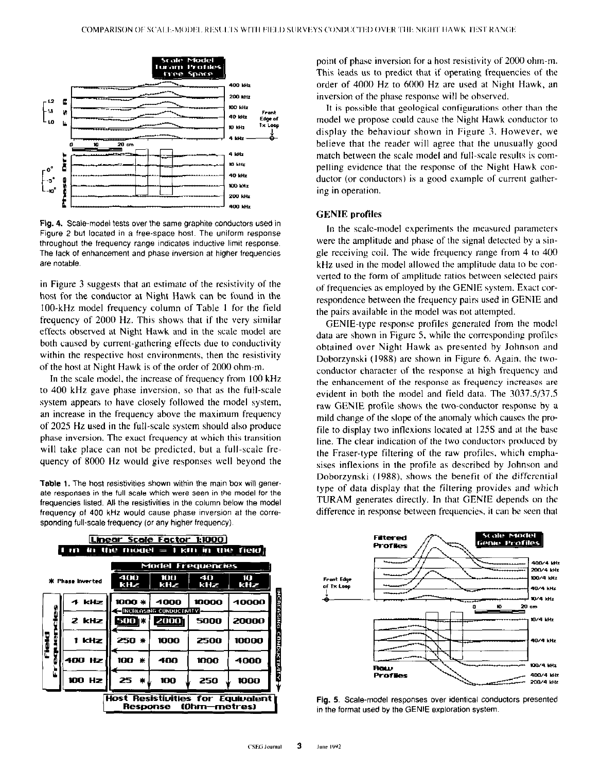

Fig. 4. Scale-model tests over the same graphite conductors used in Figure 2 but located in a free-space host. The uniform response throughout the frequency range indicates inductive limit response. The lack of enhancement and phase inversion at higher frequencies are notable.

in Figure 3 suggests that an estimate of the resistivity of the host for the conductor at Night Hawk can be found in the 100.kHz model frequency column of Table I for the field frequency of 2000 Hz. This shows that if the very similar effects observed at Night Hawk and in the scale model are both caused by current-gathering effects due to conductivity within the respective host environments, then the resistivity of the host at Night Hawk is of the order of 2000 ohm-m.

In the scale model, the increase of frequency from 100 kHz to 400 kHz gave phase inversion, so that as the full-scale system appears to have closely followed the model system, an increase in the frequency above the maximum frequency of 2025 Hz used in the full-scale system should also produce phase inversion. The exact frequency at which this transition will take place can not be predicted, but a full-scale frequency of 8000 Hz would give responses well beyond the

Table 1. The host resistivities shown within the main box will generate responses in the full scale which were seen in the model for the frequencies listed. All the resistivities in the column below the model frequency pf 400 kHz would cause phase inversion at the corresponding full-scale frequency (or any higher frequency).

| Linear Scale Factor 1:1000                                      |        |                   |                                         |           |          |
|-----------------------------------------------------------------|--------|-------------------|-----------------------------------------|-----------|----------|
| in the model $\equiv 1 \text{ km}$ in the field.<br><b>DITE</b> |        |                   |                                         |           |          |
|                                                                 |        | Model Frequencies |                                         |           |          |
| <b>Phase Inverted</b><br>÷.                                     |        | 400<br><b>kHz</b> | 100<br>kHz                              | 40<br>kHz | Ш<br>kHz |
| Ø<br>۵<br>Field<br>٥<br>Ш<br>lī.                                | 4 kHz  | 1000 *            | 4000<br><b>EINCHEASING CUNDUCTIVITY</b> | 10000     | 40000    |
|                                                                 | 2 kHz  | <b>500 BB</b>     | 20001                                   | 5000      | 20000    |
|                                                                 | 1 kHz  | <b>250 *</b>      | 1000                                    | 2500      | 10000    |
|                                                                 | 400 Hz | 100<br>兼          | 400                                     | 1000      | 4000     |
|                                                                 | 100 Hz | 25<br>兼。          | 100                                     | 250       | 1000     |
| Host Resistivities for Equivalent<br>(Ohm-metres)<br>Response   |        |                   |                                         |           |          |

point of phase inversion for a host resistivity of 2000 ohm-m. This leads us to predict that if operating frequencies of the order of 4000 Hz to 6000 Hz arc used at Night Hawk, an inversion of the phase response will be ohserved.

It is possible that geological configurations other than the model we propose could cause the Night Hawk conductor to display the behaviour shown in Figure 3. However, we believe that the reader will agree that the unusually good match between the scale model and full-scale results is compelling evidence that the response of the Night Hawk conductor (or conductors) is a good example of current gathering in operation.

### GENIE profiles

In the scale-model experiments the measured parameters were the amplitude and phase of the signal detected by a single receiving coil. The wide frequency range from 4 to 400 kHz used in the model allowed the amplitude data to be converted to the form of amplitude ratios between selected pairs of frequencies as employed by the GENIE system. Exact correspondence between the frequency pairs used in GENIE and the pairs available in the model was not attempted.

GENIE-type response profiles generated from the model data are shown in Figure 5, while the corresponding profiles obtained over Night Hawk as presented by Johnson and Dohorzynski (198X) arc shown in Figure 6. Again. the twoconductor character of the response at high frequency and the enhancement of the response as frequency increases are evident in both the model and field data. The  $3037.5/37.5$ raw GENIE profile shows the two-conductor response by a mild change of the slope of the anomaly which causes the profile to display two inflexions located at 12.5s and at the base line. The clear indication of the two conductors produced by the Fraser-type filtering of the raw profiles. which empha sises inflexions in the profile as described by Johnson and Doborzynski (1988), shows the benefit of the differential type of data display that the filtering provides and which TURAM generates directly. In that GENIE depends on the difference in response between frequencies, it can he seen that



Fig. 5. Scale-model responses over identical conductors presented in the format used by the GENIE exploration system.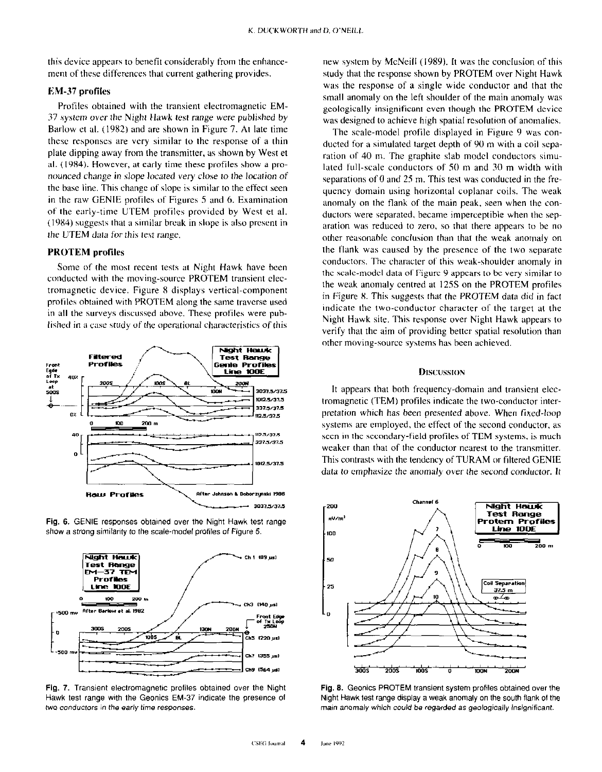this device appears to benefit considerably from the enhancement of these differences that current gathering provides.

# KM-37 profiles

Profiles obtained with the transient electromagnetic EM-37 system over the Night Hawk test range were published by Barlow et al. (1982) and are shown in Figure 7. At late time these responses are very similar to the response of a thin plate dipping away from the transmitter. as shown by West et al. (19x4). However, at early time these profiles show a pronounced change in slope located very close to the location of the base line. This change of slope is similar to the effect seen in the raw GENIE profiles of Figures 5 and 6. Examination of the early-time UTEM profiles provided by West et al.  $(1984)$  suggests that a similar break in slope is also present in the LJTEM data for this test range.

## PROTEM profiles

Some of the most recent tests at Night Hawk have been conducted with the moving-source PROTEM transient electromagnetic device. Figure 8 displays vertical-component profiles obtained with PROTEM along the same traverse used in all the surveys discussed above. These profiles were published in a case study of the operational characteristics of this







Hawk test range with the Geonics EM-37 indicate the presence 01 Night Hawk test range display a weak anomaly on the south flank 01 the two conductors in the early time responses. main anomaly which could be regarded as geologically insigniticant.

new system by McNeill (1989). It was the conclusion of this study that the response shown by PROTEM over Night Hawk was the response of a single wide conductor and that the small anomaly on the left shoulder of the main anomaly was geologically insignificant even though the PROTEM device was designed to achieve high spatial resolution of anomalies.

The scale-model profile displayed in Figure 9 was conducted for a simulated target depth of 90 m with a coil separation of 40 m. The graphite slab model conductors simulated full-scale conductors of SO m and 30 m width with separations of  $0$  and  $25$  m. This test was conducted in the frequency domain using horizontal coplanar coils. The weak anomaly on the flank of the main peak, seen when the conductors were separated, became imperceptible when the separation was reduced to zero, so that there appears to be no other reasonable conclusion than that the weak anomaly on the flank was caused by the presence of the two separate conductors. The character of this weak-shoulder anomaly in the scale-model data of Figure 9 appears to be very similar to the weak anomaly centred at IZSS on the PROTEM profiles in Figure X. This suggests that the PROTEM data did in fact indicate the two-conductor character of the target at the Night Hawk site. This response over Night Hawk appears to verify that the aim of providing better spatial resolution than other moving-source systems has been achieved.

### Discussion

It appears that both frequency-domain and transient electromagnetic (TEM) profiles indicate the two-conductor interpretation which has been presented above. When fixed-loop systems are employed, the effect of the second conductor, as seen in the secondary-field profiles of TEM systems, is much weaker than that of the conductor nearest to the transmitter. This contrasts with the tendency of TURAM or filtered GENIE data to emphasize the anomaly over the second conductor. It



Fig. 7. Transient electromagnetic profiles obtained over the Night Fig. 8. Geonics PROTEM transient system profiles obtained over the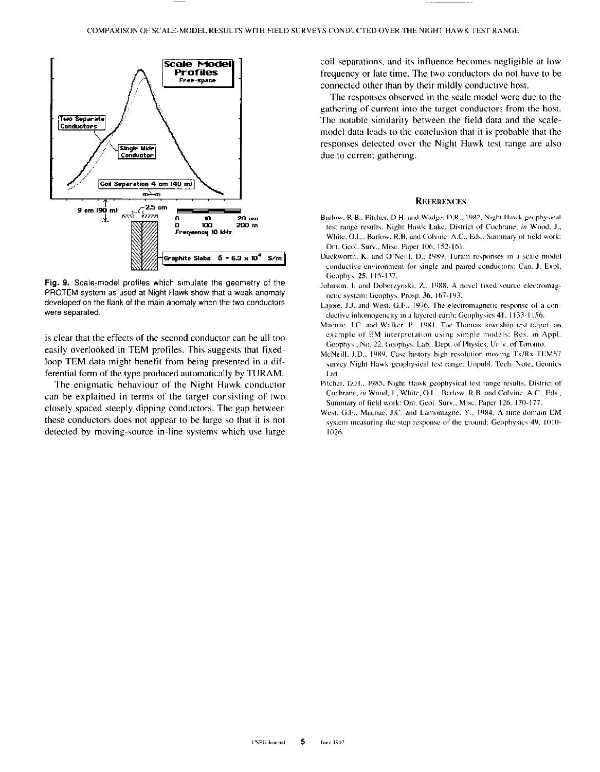

Fig. 9. Scale-model profiles which simulate the geometry of the PROTEM system as used at Night Hawk show that a weak anomaly developed on the flank of the main anomaly when the two conductors were separated.

is clear that the effects of the second conductor can be all too easily overlooked in TEM profiles. This suggests that fixedloop TEM data might benefit from being presented in a differential form of the type produced automatically by TURAM.

The enigmatic behaviour of the Night Hawk conductor can be explained in terms of the target consisting of two closely spaced steeply dipping conductors. The gap between these conductors does not appear to be large so that it is not detected by moving-source in-line systems which use large coil separations, and its influence becomes negligible at low frequency or late time. The two conductors do not have to be connected other than by their mildly conductive host.

The responses observed in the scale model were due to the gathering of current into the target conductors from the host. The notable similarity between the field data and the scalemodel data leads to the conclusion that it is probable that the responses detected over the Night Hawk test range are also due to current gathering.

#### **REFERENCES**

- Barlow, R.B., Pitcher, D.H. and Wadge, D.R., 1982, Night Hawk geophysical test range results, Night Hawk Lake, District of Cochrane, in Wood, J., White, O.L., Barlow, R.B. and Colvine, A.C., Eds., Summary of field work: Ont. Geol. Surv., Misc. Paper 106, 152-161.
- Duckworth, K. and O'Neill, D., 1989, Turam responses in a scale model conductive environment for single and paired conductors: Can. J. Expl. Geophys. 25, 115-137.
- Johnson, I. and Doborzynski, Z., 1988, A novel fixed source electromagnetic system: Geophys. Prosp. 36, 167-193.
- Lajoie, J.J. and West, G.F., 1976, The electromagnetic response of a conductive inhomogeneity in a layered earth: Geophysics 41, 1133-1156.
- Macnae, J.C. and Walker, P., 1981, The Thomas township test target: an example of EM interpretation using simple models: Res. in Appl. Geophys., No. 22, Geophys. Lab., Dept. of Physics, Univ. of Toronto.
- McNeill, J.D., 1989, Case history high resolution moving Tx/Rx TEM57 survey Night Hawk geophysical test range: Unpubl. Tech. Note, Geonies Ltd.
- Pitcher, D.H., 1985, Night Hawk geophysical test range results, District of Cochrane, in Wood, J., White, O.L., Barlow, R.B. and Colvine, A.C., Eds., Summary of field work: Ont. Geol. Surv., Misc. Paper 126, 170-177.
- West, G.F., Macnae, J.C. and Lamontagne, Y., 1984, A time-domain EM system measuring the step response of the ground: Geophysics 49, 1010-1026.